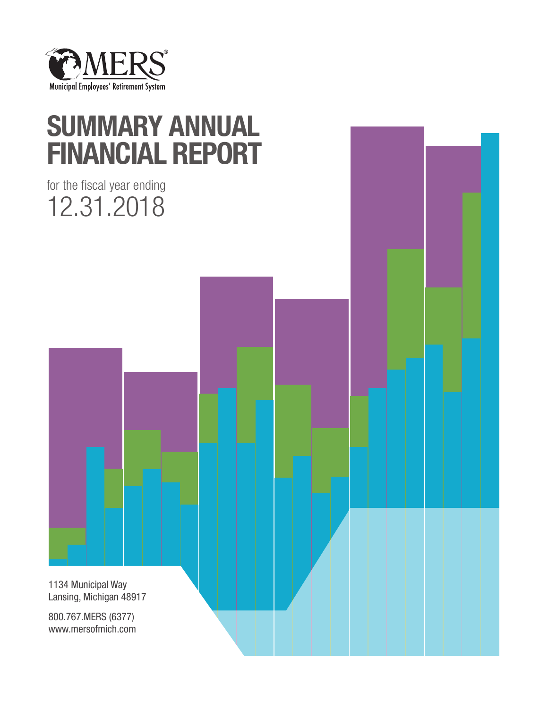

# SUMMARY ANNUAL FINANCIAL REPORT

## for the fiscal year ending 12.31.2018

1134 Municipal Way Lansing, Michigan 48917

800.767.MERS (6377) www.mersofmich.com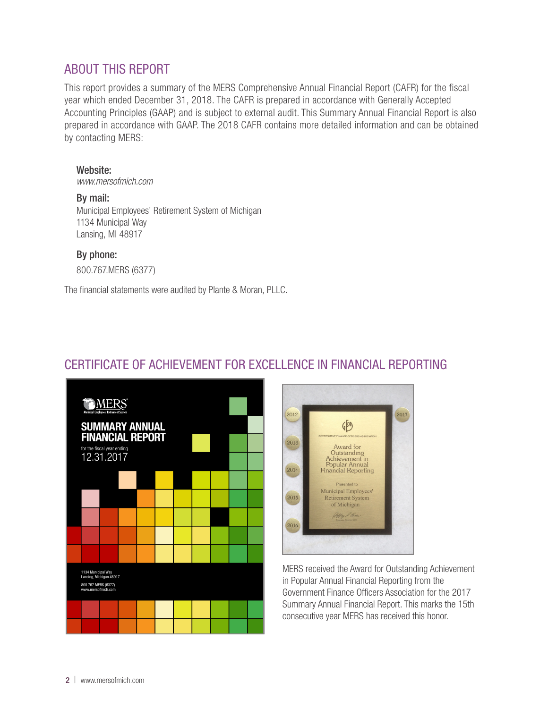## ABOUT THIS REPORT

This report provides a summary of the MERS Comprehensive Annual Financial Report (CAFR) for the fiscal year which ended December 31, 2018. The CAFR is prepared in accordance with Generally Accepted Accounting Principles (GAAP) and is subject to external audit. This Summary Annual Financial Report is also prepared in accordance with GAAP. The 2018 CAFR contains more detailed information and can be obtained by contacting MERS:

Website: *www.mersofmich.com*

By mail: Municipal Employees' Retirement System of Michigan 1134 Municipal Way Lansing, MI 48917

By phone: 800.767.MERS (6377)

The financial statements were audited by Plante & Moran, PLLC.



## 2012 2017  $\bigoplus$

CERTIFICATE OF ACHIEVEMENT FOR EXCELLENCE IN FINANCIAL REPORTING



MERS received the Award for Outstanding Achievement in Popular Annual Financial Reporting from the Government Finance Officers Association for the 2017 Summary Annual Financial Report. This marks the 15th consecutive year MERS has received this honor.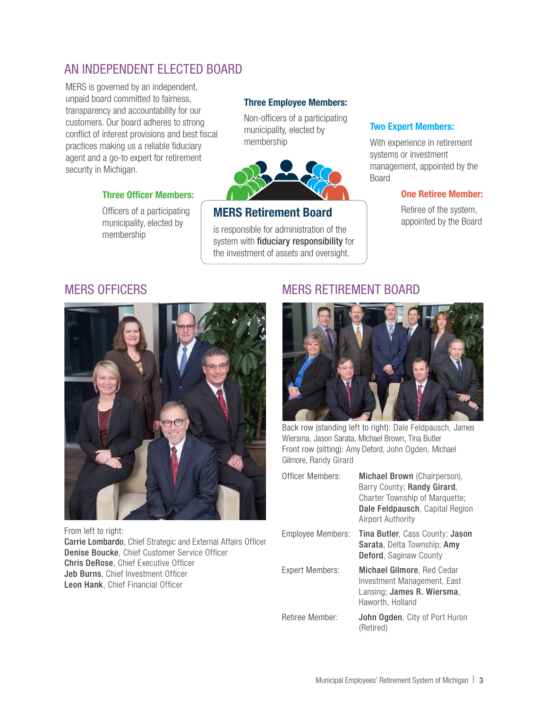## AN INDEPENDENT ELECTED BOARD

MERS is governed by an independent, unpaid board committed to fairness, transparency and accountability for our customers. Our board adheres to strong conflict of interest provisions and best fiscal practices making us a reliable fiduciary agent and a go-to expert for retirement security in Michigan.

#### Three Officer Members:

Officers of a participating municipality, elected by membership

#### Three Employee Members:

Non-officers of a participating municipality, elected by membership



### MERS Retirement Board

is responsible for administration of the system with fiduciary responsibility for the investment of assets and oversight.

#### Two Expert Members:

With experience in retirement systems or investment management, appointed by the Board

#### One Retiree Member:

Retiree of the system, appointed by the Board



From left to right: Carrie Lombardo, Chief Strategic and External Affairs Officer Denise Boucke, Chief Customer Service Officer Chris DeRose, Chief Executive Officer Jeb Burns, Chief Investment Officer Leon Hank, Chief Financial Officer

### MERS OFFICERS MERS RETIREMENT BOARD



Back row (standing left to right): Dale Feldpausch, James Wiersma, Jason Sarata, Michael Brown, Tina Butler Front row (sitting): Amy Deford, John Ogden, Michael Gilmore, Randy Girard

| Officer Members:  | <b>Michael Brown</b> (Chairperson),<br>Barry County; Randy Girard,<br>Charter Township of Marquette;<br>Dale Feldpausch, Capital Region<br>Airport Authority |
|-------------------|--------------------------------------------------------------------------------------------------------------------------------------------------------------|
| Employee Members: | <b>Tina Butler, Cass County; Jason</b><br><b>Sarata, Delta Township; Amy</b><br><b>Deford, Saginaw County</b>                                                |
| Expert Members:   | Michael Gilmore, Red Cedar<br>Investment Management, East<br>Lansing; James R. Wiersma,<br>Haworth, Holland                                                  |
| Retiree Member:   | <b>John Ogden, City of Port Huron</b><br>(Retired)                                                                                                           |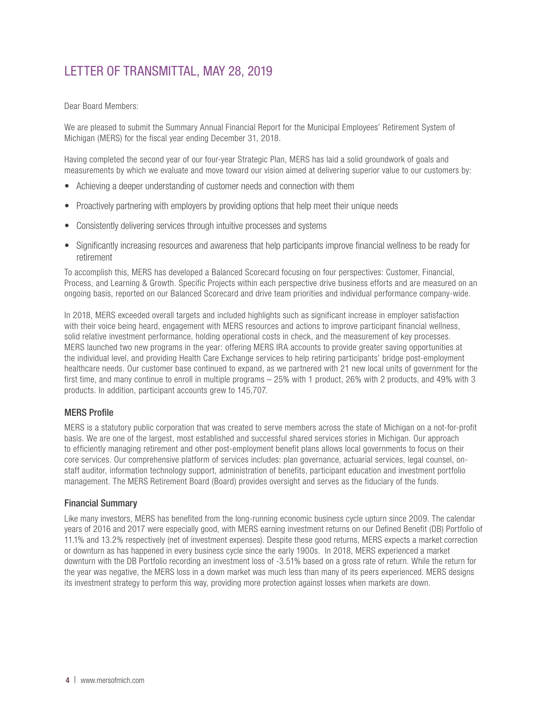## LETTER OF TRANSMITTAL, MAY 28, 2019

Dear Board Members:

We are pleased to submit the Summary Annual Financial Report for the Municipal Employees' Retirement System of Michigan (MERS) for the fiscal year ending December 31, 2018.

Having completed the second year of our four-year Strategic Plan, MERS has laid a solid groundwork of goals and measurements by which we evaluate and move toward our vision aimed at delivering superior value to our customers by:

- Achieving a deeper understanding of customer needs and connection with them
- Proactively partnering with employers by providing options that help meet their unique needs
- Consistently delivering services through intuitive processes and systems
- Significantly increasing resources and awareness that help participants improve financial wellness to be ready for retirement

To accomplish this, MERS has developed a Balanced Scorecard focusing on four perspectives: Customer, Financial, Process, and Learning & Growth. Specific Projects within each perspective drive business efforts and are measured on an ongoing basis, reported on our Balanced Scorecard and drive team priorities and individual performance company-wide.

In 2018, MERS exceeded overall targets and included highlights such as significant increase in employer satisfaction with their voice being heard, engagement with MERS resources and actions to improve participant financial wellness, solid relative investment performance, holding operational costs in check, and the measurement of key processes. MERS launched two new programs in the year: offering MERS IRA accounts to provide greater saving opportunities at the individual level, and providing Health Care Exchange services to help retiring participants' bridge post-employment healthcare needs. Our customer base continued to expand, as we partnered with 21 new local units of government for the first time, and many continue to enroll in multiple programs – 25% with 1 product, 26% with 2 products, and 49% with 3 products. In addition, participant accounts grew to 145,707.

#### MERS Profile

MERS is a statutory public corporation that was created to serve members across the state of Michigan on a not-for-profit basis. We are one of the largest, most established and successful shared services stories in Michigan. Our approach to efficiently managing retirement and other post-employment benefit plans allows local governments to focus on their core services. Our comprehensive platform of services includes: plan governance, actuarial services, legal counsel, onstaff auditor, information technology support, administration of benefits, participant education and investment portfolio management. The MERS Retirement Board (Board) provides oversight and serves as the fiduciary of the funds.

#### Financial Summary

Like many investors, MERS has benefited from the long-running economic business cycle upturn since 2009. The calendar years of 2016 and 2017 were especially good, with MERS earning investment returns on our Defined Benefit (DB) Portfolio of 11.1% and 13.2% respectively (net of investment expenses). Despite these good returns, MERS expects a market correction or downturn as has happened in every business cycle since the early 1900s. In 2018, MERS experienced a market downturn with the DB Portfolio recording an investment loss of -3.51% based on a gross rate of return. While the return for the year was negative, the MERS loss in a down market was much less than many of its peers experienced. MERS designs its investment strategy to perform this way, providing more protection against losses when markets are down.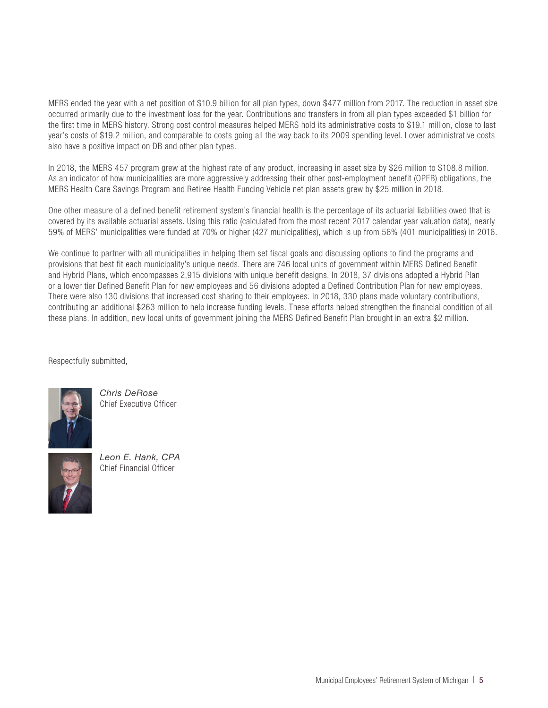MERS ended the year with a net position of \$10.9 billion for all plan types, down \$477 million from 2017. The reduction in asset size occurred primarily due to the investment loss for the year. Contributions and transfers in from all plan types exceeded \$1 billion for the first time in MERS history. Strong cost control measures helped MERS hold its administrative costs to \$19.1 million, close to last year's costs of \$19.2 million, and comparable to costs going all the way back to its 2009 spending level. Lower administrative costs also have a positive impact on DB and other plan types.

In 2018, the MERS 457 program grew at the highest rate of any product, increasing in asset size by \$26 million to \$108.8 million. As an indicator of how municipalities are more aggressively addressing their other post-employment benefit (OPEB) obligations, the MERS Health Care Savings Program and Retiree Health Funding Vehicle net plan assets grew by \$25 million in 2018.

One other measure of a defined benefit retirement system's financial health is the percentage of its actuarial liabilities owed that is covered by its available actuarial assets. Using this ratio (calculated from the most recent 2017 calendar year valuation data), nearly 59% of MERS' municipalities were funded at 70% or higher (427 municipalities), which is up from 56% (401 municipalities) in 2016.

We continue to partner with all municipalities in helping them set fiscal goals and discussing options to find the programs and provisions that best fit each municipality's unique needs. There are 746 local units of government within MERS Defined Benefit and Hybrid Plans, which encompasses 2,915 divisions with unique benefit designs. In 2018, 37 divisions adopted a Hybrid Plan or a lower tier Defined Benefit Plan for new employees and 56 divisions adopted a Defined Contribution Plan for new employees. There were also 130 divisions that increased cost sharing to their employees. In 2018, 330 plans made voluntary contributions, contributing an additional \$263 million to help increase funding levels. These efforts helped strengthen the financial condition of all these plans. In addition, new local units of government joining the MERS Defined Benefit Plan brought in an extra \$2 million.

Respectfully submitted,



*Chris DeRose* Chief Executive Officer



*Leon E. Hank, CPA* Chief Financial Officer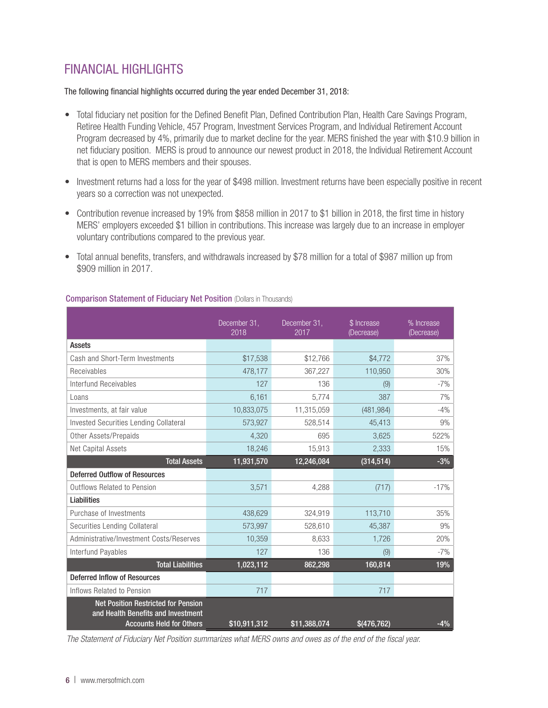## FINANCIAL HIGHLIGHTS

The following financial highlights occurred during the year ended December 31, 2018:

- Total fiduciary net position for the Defined Benefit Plan, Defined Contribution Plan, Health Care Savings Program, Retiree Health Funding Vehicle, 457 Program, Investment Services Program, and Individual Retirement Account Program decreased by 4%, primarily due to market decline for the year. MERS finished the year with \$10.9 billion in net fiduciary position. MERS is proud to announce our newest product in 2018, the Individual Retirement Account that is open to MERS members and their spouses.
- Investment returns had a loss for the year of \$498 million. Investment returns have been especially positive in recent years so a correction was not unexpected.
- Contribution revenue increased by 19% from \$858 million in 2017 to \$1 billion in 2018, the first time in history MERS' employers exceeded \$1 billion in contributions. This increase was largely due to an increase in employer voluntary contributions compared to the previous year.
- Total annual benefits, transfers, and withdrawals increased by \$78 million for a total of \$987 million up from \$909 million in 2017.

|                                                                                                                     | December 31,<br>2018 | December 31,<br>2017 | \$ Increase<br>(Decrease) | % Increase<br>(Decrease) |
|---------------------------------------------------------------------------------------------------------------------|----------------------|----------------------|---------------------------|--------------------------|
| Assets                                                                                                              |                      |                      |                           |                          |
| Cash and Short-Term Investments                                                                                     | \$17,538             | \$12,766             | \$4,772                   | 37%                      |
| Receivables                                                                                                         | 478.177              | 367,227              | 110,950                   | 30%                      |
| Interfund Receivables                                                                                               | 127                  | 136                  | (9)                       | $-7%$                    |
| Loans                                                                                                               | 6,161                | 5,774                | 387                       | 7%                       |
| Investments, at fair value                                                                                          | 10,833,075           | 11,315,059           | (481, 984)                | $-4%$                    |
| <b>Invested Securities Lending Collateral</b>                                                                       | 573,927              | 528,514              | 45,413                    | 9%                       |
| Other Assets/Prepaids                                                                                               | 4,320                | 695                  | 3,625                     | 522%                     |
| Net Capital Assets                                                                                                  | 18,246               | 15,913<br>2,333      |                           | 15%                      |
| <b>Total Assets</b>                                                                                                 | 11,931,570           | 12,246,084           | (314, 514)                | $-3%$                    |
| <b>Deferred Outflow of Resources</b>                                                                                |                      |                      |                           |                          |
| Outflows Related to Pension                                                                                         | 3,571                | 4,288                | (717)                     | $-17%$                   |
| Liabilities                                                                                                         |                      |                      |                           |                          |
| Purchase of Investments                                                                                             | 438,629              | 324,919              | 113,710                   | 35%                      |
| Securities Lending Collateral                                                                                       | 573,997              | 528,610              | 45,387                    | 9%                       |
| Administrative/Investment Costs/Reserves                                                                            | 10,359               | 8,633                | 1,726                     | 20%                      |
| Interfund Payables                                                                                                  | 127                  | 136                  | (9)                       | $-7%$                    |
| <b>Total Liabilities</b>                                                                                            | 1,023,112            | 862,298              | 160,814                   | 19%                      |
| <b>Deferred Inflow of Resources</b>                                                                                 |                      |                      |                           |                          |
| Inflows Related to Pension                                                                                          | 717                  |                      | 717                       |                          |
| <b>Net Position Restricted for Pension</b><br>and Health Benefits and Investment<br><b>Accounts Held for Others</b> | \$10,911,312         | \$11,388,074         | \$(476, 762)              | $-4%$                    |

#### **Comparison Statement of Fiduciary Net Position (Dollars in Thousands)**

*The Statement of Fiduciary Net Position summarizes what MERS owns and owes as of the end of the fiscal year.*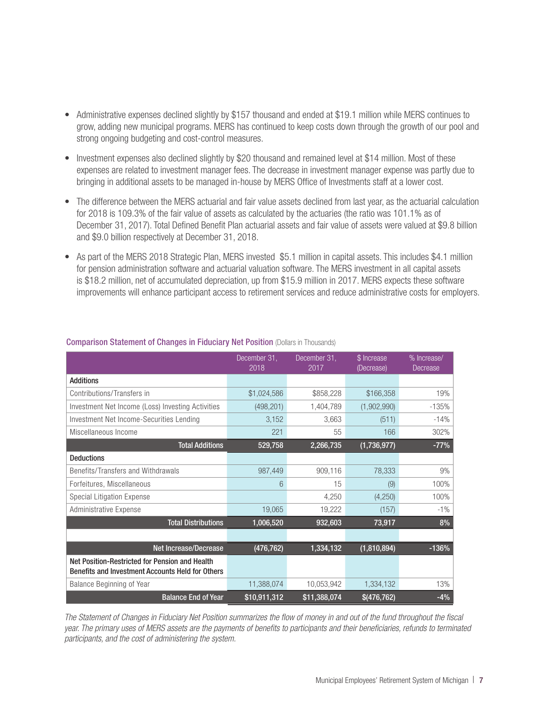- Administrative expenses declined slightly by \$157 thousand and ended at \$19.1 million while MERS continues to grow, adding new municipal programs. MERS has continued to keep costs down through the growth of our pool and strong ongoing budgeting and cost-control measures.
- Investment expenses also declined slightly by \$20 thousand and remained level at \$14 million. Most of these expenses are related to investment manager fees. The decrease in investment manager expense was partly due to bringing in additional assets to be managed in-house by MERS Office of Investments staff at a lower cost.
- The difference between the MERS actuarial and fair value assets declined from last year, as the actuarial calculation for 2018 is 109.3% of the fair value of assets as calculated by the actuaries (the ratio was 101.1% as of December 31, 2017). Total Defined Benefit Plan actuarial assets and fair value of assets were valued at \$9.8 billion and \$9.0 billion respectively at December 31, 2018.
- As part of the MERS 2018 Strategic Plan, MERS invested \$5.1 million in capital assets. This includes \$4.1 million for pension administration software and actuarial valuation software. The MERS investment in all capital assets is \$18.2 million, net of accumulated depreciation, up from \$15.9 million in 2017. MERS expects these software improvements will enhance participant access to retirement services and reduce administrative costs for employers.

|                                                                                                    | December 31,<br>2018 | December 31,<br>2017 | \$ Increase<br>(Decrease) | % Increase/<br>Decrease |
|----------------------------------------------------------------------------------------------------|----------------------|----------------------|---------------------------|-------------------------|
| <b>Additions</b>                                                                                   |                      |                      |                           |                         |
| Contributions/Transfers in                                                                         | \$1,024,586          | \$858,228            | \$166,358                 | 19%                     |
| Investment Net Income (Loss) Investing Activities                                                  | (498, 201)           | 1,404,789            | (1,902,990)               | $-135%$                 |
| Investment Net Income-Securities Lending                                                           | 3,152                | 3,663                | (511)                     | $-14%$                  |
| Miscellaneous Income                                                                               | 221                  | 55                   | 166                       | 302%                    |
| <b>Total Additions</b>                                                                             | 529,758              | 2,266,735            | (1,736,977)               | $-77%$                  |
| <b>Deductions</b>                                                                                  |                      |                      |                           |                         |
| Benefits/Transfers and Withdrawals                                                                 | 987,449              | 909,116              | 78,333                    | 9%                      |
| Forfeitures, Miscellaneous                                                                         | 6                    | 15                   | (9)                       | 100%                    |
| Special Litigation Expense                                                                         |                      | 4,250                | (4,250)                   | 100%                    |
| <b>Administrative Expense</b>                                                                      | 19,065               | 19,222               | (157)                     | $-1\%$                  |
| <b>Total Distributions</b>                                                                         | 1,006,520            | 932,603              | 73,917                    | 8%                      |
|                                                                                                    |                      |                      |                           |                         |
| <b>Net Increase/Decrease</b>                                                                       | (476, 762)           | 1,334,132            | (1,810,894)               | $-136%$                 |
| Net Position-Restricted for Pension and Health<br>Benefits and Investment Accounts Held for Others |                      |                      |                           |                         |
| Balance Beginning of Year                                                                          | 11,388,074           | 10,053,942           | 1,334,132                 | 13%                     |
| <b>Balance End of Year</b>                                                                         | \$10,911,312         | \$11,388,074         | \$(476,762)               | $-4%$                   |

#### **Comparison Statement of Changes in Fiduciary Net Position (Dollars in Thousands)**

*The Statement of Changes in Fiduciary Net Position summarizes the flow of money in and out of the fund throughout the fiscal year. The primary uses of MERS assets are the payments of benefits to participants and their beneficiaries, refunds to terminated participants, and the cost of administering the system.*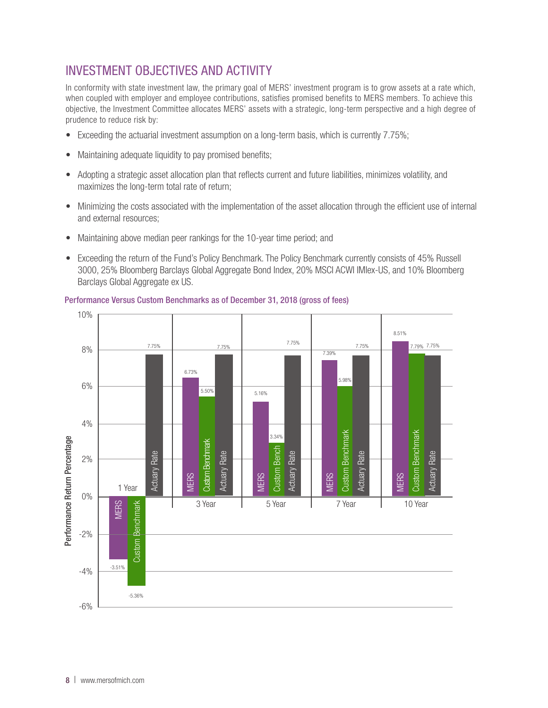## INVESTMENT OBJECTIVES AND ACTIVITY

In conformity with state investment law, the primary goal of MERS' investment program is to grow assets at a rate which, when coupled with employer and employee contributions, satisfies promised benefits to MERS members. To achieve this objective, the Investment Committee allocates MERS' assets with a strategic, long-term perspective and a high degree of prudence to reduce risk by:

- Exceeding the actuarial investment assumption on a long-term basis, which is currently 7.75%;
- Maintaining adequate liquidity to pay promised benefits;
- Adopting a strategic asset allocation plan that reflects current and future liabilities, minimizes volatility, and maximizes the long-term total rate of return;
- Minimizing the costs associated with the implementation of the asset allocation through the efficient use of internal and external resources;
- Maintaining above median peer rankings for the 10-year time period; and
- Exceeding the return of the Fund's Policy Benchmark. The Policy Benchmark currently consists of 45% Russell 3000, 25% Bloomberg Barclays Global Aggregate Bond Index, 20% MSCI ACWI IMIex-US, and 10% Bloomberg Barclays Global Aggregate ex US.



#### Performance Versus Custom Benchmarks as of December 31, 2018 (gross of fees)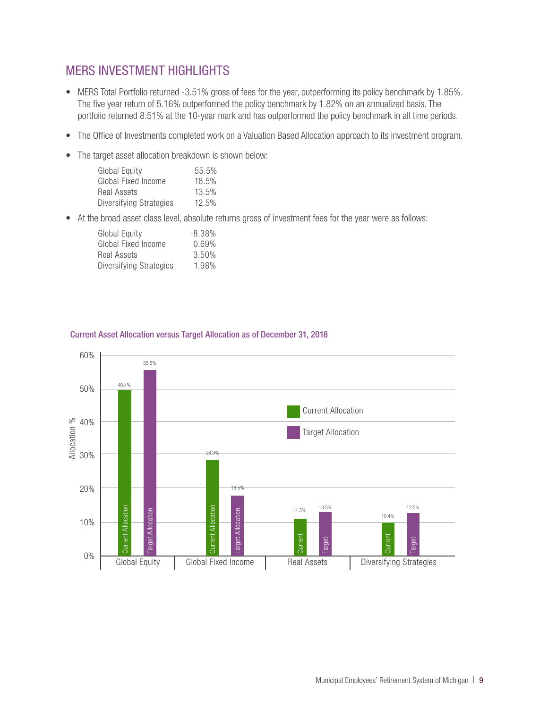## MERS INVESTMENT HIGHLIGHTS

- MERS Total Portfolio returned -3.51% gross of fees for the year, outperforming its policy benchmark by 1.85%. The five year return of 5.16% outperformed the policy benchmark by 1.82% on an annualized basis. The portfolio returned 8.51% at the 10-year mark and has outperformed the policy benchmark in all time periods.
- The Office of Investments completed work on a Valuation Based Allocation approach to its investment program.
- The target asset allocation breakdown is shown below:

| <b>Global Equity</b>    | 55.5% |
|-------------------------|-------|
| Global Fixed Income     | 18.5% |
| Real Assets             | 13.5% |
| Diversifying Strategies | 12.5% |

• At the broad asset class level, absolute returns gross of investment fees for the year were as follows:

| <b>Global Equity</b>    | $-8.38%$ |
|-------------------------|----------|
| Global Fixed Income     | 0.69%    |
| Real Assets             | 3.50%    |
| Diversifying Strategies | 1.98%    |

#### Current Asset Allocation versus Target Allocation as of December 31, 2018

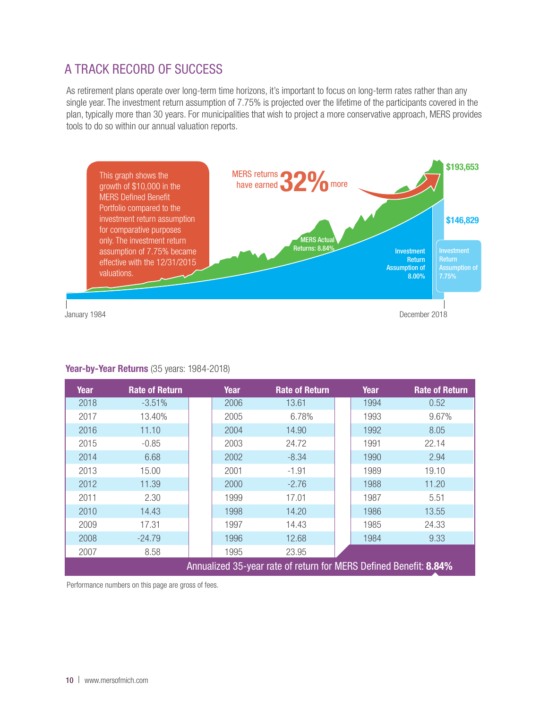## A TRACK RECORD OF SUCCESS

As retirement plans operate over long-term time horizons, it's important to focus on long-term rates rather than any single year. The investment return assumption of 7.75% is projected over the lifetime of the participants covered in the plan, typically more than 30 years. For municipalities that wish to project a more conservative approach, MERS provides tools to do so within our annual valuation reports.



### Year-by-Year Returns (35 years: 1984-2018)

| Year                                                              | <b>Rate of Return</b> |  | Year | <b>Rate of Return</b> |  | Year | <b>Rate of Return</b> |
|-------------------------------------------------------------------|-----------------------|--|------|-----------------------|--|------|-----------------------|
| 2018                                                              | $-3.51%$              |  | 2006 | 13.61                 |  | 1994 | 0.52                  |
| 2017                                                              | 13.40%                |  | 2005 | 6.78%                 |  | 1993 | 9.67%                 |
| 2016                                                              | 11.10                 |  | 2004 | 14.90                 |  | 1992 | 8.05                  |
| 2015                                                              | $-0.85$               |  | 2003 | 24.72                 |  | 1991 | 22.14                 |
| 2014                                                              | 6.68                  |  | 2002 | $-8.34$               |  | 1990 | 2.94                  |
| 2013                                                              | 15.00                 |  | 2001 | $-1.91$               |  | 1989 | 19.10                 |
| 2012                                                              | 11.39                 |  | 2000 | $-2.76$               |  | 1988 | 11.20                 |
| 2011                                                              | 2.30                  |  | 1999 | 17.01                 |  | 1987 | 5.51                  |
| 2010                                                              | 14.43                 |  | 1998 | 14.20                 |  | 1986 | 13.55                 |
| 2009                                                              | 17.31                 |  | 1997 | 14.43                 |  | 1985 | 24.33                 |
| 2008                                                              | $-24.79$              |  | 1996 | 12.68                 |  | 1984 | 9.33                  |
| 2007                                                              | 8.58                  |  | 1995 | 23.95                 |  |      |                       |
| Annualized 35-year rate of return for MERS Defined Benefit: 8.84% |                       |  |      |                       |  |      |                       |

Performance numbers on this page are gross of fees.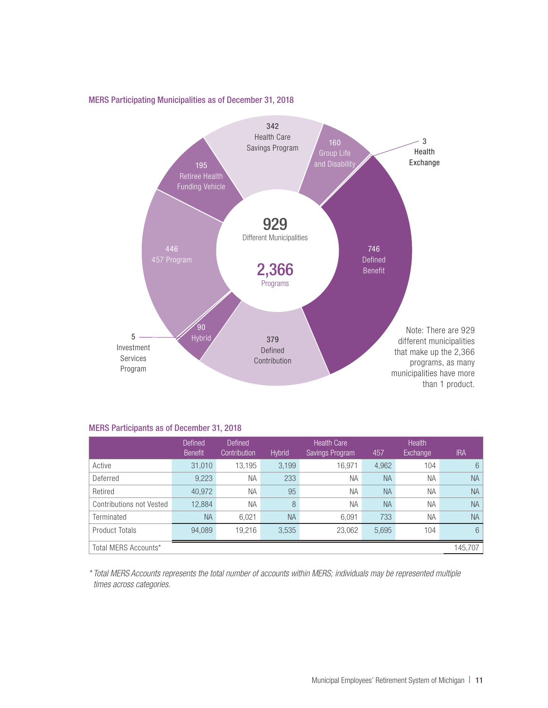

#### MERS Participating Municipalities as of December 31, 2018

#### MERS Participants as of December 31, 2018

|                                 | <b>Defined</b><br><b>Benefit</b> | <b>Defined</b><br><b>Contribution</b> | <b>Hybrid</b> | <b>Health Care</b><br>Savings Program | 457       | <b>Health</b><br>Exchange | <b>IRA</b> |
|---------------------------------|----------------------------------|---------------------------------------|---------------|---------------------------------------|-----------|---------------------------|------------|
| Active                          | 31,010                           | 13,195                                | 3,199         | 16,971                                | 4,962     | 104                       | 6          |
| Deferred                        | 9,223                            | <b>NA</b>                             | 233           | <b>NA</b>                             | <b>NA</b> | <b>NA</b>                 | <b>NA</b>  |
| Retired                         | 40,972                           | <b>NA</b>                             | 95            | <b>NA</b>                             | <b>NA</b> | <b>NA</b>                 | <b>NA</b>  |
| Contributions not Vested        | 12,884                           | <b>NA</b>                             | 8             | <b>NA</b>                             | <b>NA</b> | <b>NA</b>                 | <b>NA</b>  |
| Terminated                      | <b>NA</b>                        | 6,021                                 | <b>NA</b>     | 6,091                                 | 733       | <b>NA</b>                 | <b>NA</b>  |
| Product Totals                  | 94,089                           | 19.216                                | 3,535         | 23,062                                | 5,695     | 104                       | 6          |
| Total MERS Accounts*<br>145.707 |                                  |                                       |               |                                       |           |                           |            |

*\* Total MERS Accounts represents the total number of accounts within MERS; individuals may be represented multiple times across categories.*